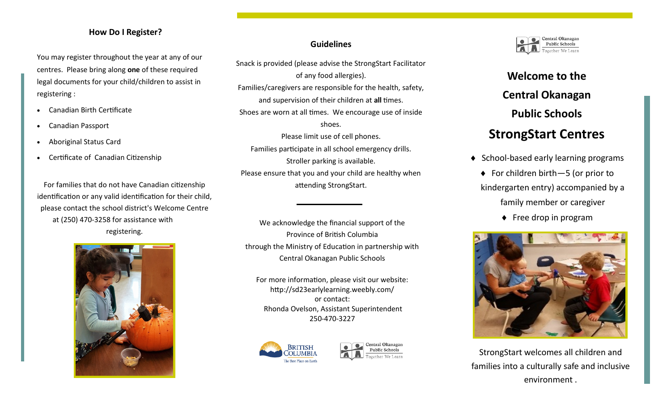### **How Do I Register?**

You may register throughout the year at any of our centres. Please bring along **one** of these required legal documents for your child/children to assist in registering :

- Canadian Birth Certificate
- Canadian Passport
- Aboriginal Status Card
- Certificate of Canadian Citizenship

For families that do not have Canadian citizenship identification or any valid identification for their child, please contact the school district's Welcome Centre at (250) 470-3258 for assistance with registering.



## **Guidelines**

Snack is provided (please advise the StrongStart Facilitator of any food allergies). Families/caregivers are responsible for the health, safety, and supervision of their children at **all** times. Shoes are worn at all times. We encourage use of inside shoes. Please limit use of cell phones. Families participate in all school emergency drills. Stroller parking is available. Please ensure that you and your child are healthy when attending StrongStart.

We acknowledge the financial support of the Province of British Columbia through the Ministry of Education in partnership with Central Okanagan Public Schools

For more information, please visit our website: http://sd23earlylearning.weebly.com/ or contact: Rhonda Ovelson, Assistant Superintendent 250-470-3227







# **Welcome to the Central Okanagan Public Schools StrongStart Centres**

- $\triangleleft$  School-based early learning programs
	- ◆ For children birth 5 (or prior to kindergarten entry) accompanied by a family member or caregiver
		- $\bullet$  Free drop in program



StrongStart welcomes all children and families into a culturally safe and inclusive environment .